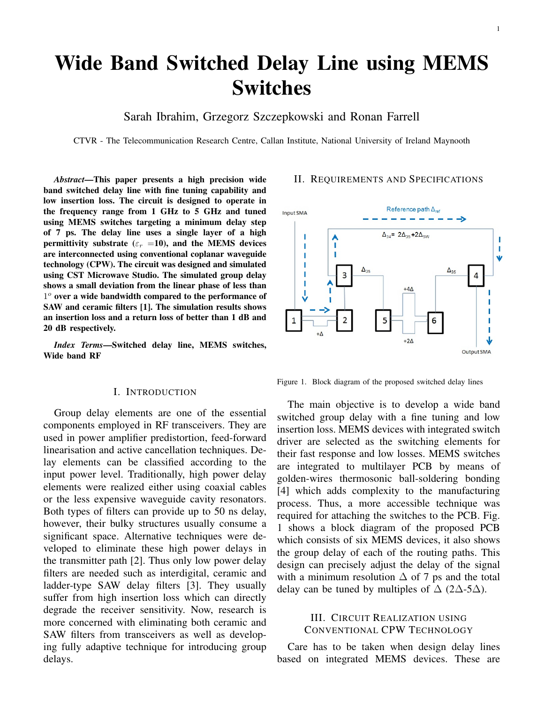# Wide Band Switched Delay Line using MEMS Switches

Sarah Ibrahim, Grzegorz Szczepkowski and Ronan Farrell

CTVR - The Telecommunication Research Centre, Callan Institute, National University of Ireland Maynooth

*Abstract*—This paper presents a high precision wide band switched delay line with fine tuning capability and low insertion loss. The circuit is designed to operate in the frequency range from 1 GHz to 5 GHz and tuned using MEMS switches targeting a minimum delay step of 7 ps. The delay line uses a single layer of a high permittivity substrate ( $\varepsilon_r$  =10), and the MEMS devices are interconnected using conventional coplanar waveguide technology (CPW). The circuit was designed and simulated using CST Microwave Studio. The simulated group delay shows a small deviation from the linear phase of less than  $1<sup>o</sup>$  over a wide bandwidth compared to the performance of SAW and ceramic filters [1]. The simulation results shows an insertion loss and a return loss of better than 1 dB and 20 dB respectively.

*Index Terms*—Switched delay line, MEMS switches, Wide band RF

#### I. INTRODUCTION

Group delay elements are one of the essential components employed in RF transceivers. They are used in power amplifier predistortion, feed-forward linearisation and active cancellation techniques. Delay elements can be classified according to the input power level. Traditionally, high power delay elements were realized either using coaxial cables or the less expensive waveguide cavity resonators. Both types of filters can provide up to 50 ns delay, however, their bulky structures usually consume a significant space. Alternative techniques were developed to eliminate these high power delays in the transmitter path [2]. Thus only low power delay filters are needed such as interdigital, ceramic and ladder-type SAW delay filters [3]. They usually suffer from high insertion loss which can directly degrade the receiver sensitivity. Now, research is more concerned with eliminating both ceramic and SAW filters from transceivers as well as developing fully adaptive technique for introducing group delays.

### II. REQUIREMENTS AND SPECIFICATIONS



Figure 1. Block diagram of the proposed switched delay lines

The main objective is to develop a wide band switched group delay with a fine tuning and low insertion loss. MEMS devices with integrated switch driver are selected as the switching elements for their fast response and low losses. MEMS switches are integrated to multilayer PCB by means of golden-wires thermosonic ball-soldering bonding [4] which adds complexity to the manufacturing process. Thus, a more accessible technique was required for attaching the switches to the PCB. Fig. 1 shows a block diagram of the proposed PCB which consists of six MEMS devices, it also shows the group delay of each of the routing paths. This design can precisely adjust the delay of the signal with a minimum resolution  $\Delta$  of 7 ps and the total delay can be tuned by multiples of  $\Delta$  (2 $\Delta$ -5 $\Delta$ ).

## III. CIRCUIT REALIZATION USING CONVENTIONAL CPW TECHNOLOGY

Care has to be taken when design delay lines based on integrated MEMS devices. These are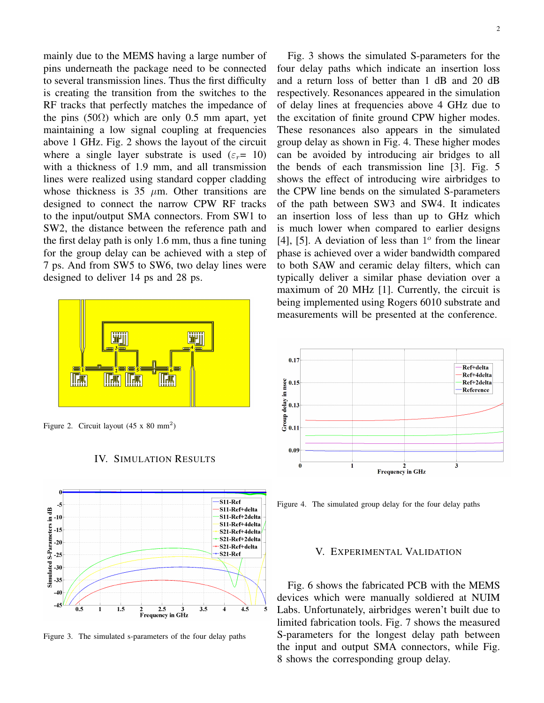mainly due to the MEMS having a large number of pins underneath the package need to be connected to several transmission lines. Thus the first difficulty is creating the transition from the switches to the RF tracks that perfectly matches the impedance of the pins (50 $\Omega$ ) which are only 0.5 mm apart, yet maintaining a low signal coupling at frequencies above 1 GHz. Fig. 2 shows the layout of the circuit where a single layer substrate is used ( $\varepsilon_r$  = 10) with a thickness of 1.9 mm, and all transmission lines were realized using standard copper cladding whose thickness is 35  $\mu$ m. Other transitions are designed to connect the narrow CPW RF tracks to the input/output SMA connectors. From SW1 to SW2, the distance between the reference path and the first delay path is only 1.6 mm, thus a fine tuning for the group delay can be achieved with a step of 7 ps. And from SW5 to SW6, two delay lines were designed to deliver 14 ps and 28 ps.



Figure 2. Circuit layout  $(45 \times 80 \text{ mm}^2)$ 





Figure 3. The simulated s-parameters of the four delay paths

Fig. 3 shows the simulated S-parameters for the four delay paths which indicate an insertion loss and a return loss of better than 1 dB and 20 dB respectively. Resonances appeared in the simulation of delay lines at frequencies above 4 GHz due to the excitation of finite ground CPW higher modes. These resonances also appears in the simulated group delay as shown in Fig. 4. These higher modes can be avoided by introducing air bridges to all the bends of each transmission line [3]. Fig. 5 shows the effect of introducing wire airbridges to the CPW line bends on the simulated S-parameters of the path between SW3 and SW4. It indicates an insertion loss of less than up to GHz which is much lower when compared to earlier designs [4], [5]. A deviation of less than  $1^{\circ}$  from the linear phase is achieved over a wider bandwidth compared to both SAW and ceramic delay filters, which can typically deliver a similar phase deviation over a maximum of 20 MHz [1]. Currently, the circuit is being implemented using Rogers 6010 substrate and measurements will be presented at the conference.



Figure 4. The simulated group delay for the four delay paths

## V. EXPERIMENTAL VALIDATION

Fig. 6 shows the fabricated PCB with the MEMS devices which were manually soldiered at NUIM Labs. Unfortunately, airbridges weren't built due to limited fabrication tools. Fig. 7 shows the measured S-parameters for the longest delay path between the input and output SMA connectors, while Fig. 8 shows the corresponding group delay.